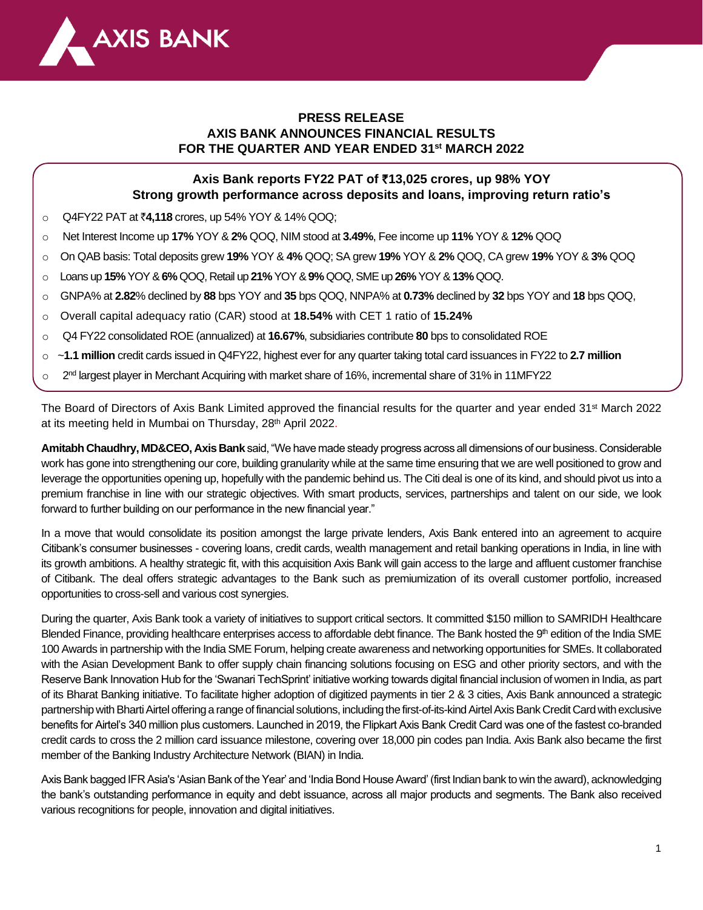

# **PRESS RELEASE AXIS BANK ANNOUNCES FINANCIAL RESULTS FOR THE QUARTER AND YEAR ENDED 31st MARCH 2022**

# **Axis Bank reports FY22 PAT of** `**13,025 crores, up 98% YOY Strong growth performance across deposits and loans, improving return ratio's**

- o Q4FY22 PAT at `**4,118** crores, up 54% YOY & 14% QOQ;
- o Net Interest Income up **17%** YOY & **2%** QOQ, NIM stood at **3.49%**, Fee income up **11%** YOY & **12%** QOQ
- o On QAB basis: Total deposits grew **19%** YOY & **4%** QOQ; SA grew **19%** YOY & **2%** QOQ, CA grew **19%** YOY & **3%** QOQ
- o Loans up **15%** YOY &**6%** QOQ, Retail up **21%** YOY & **9%** QOQ, SME up **26%** YOY & **13%** QOQ.
- o GNPA% at **2.82**% declined by **88** bps YOY and **35** bps QOQ, NNPA% at **0.73%** declined by **32** bps YOY and **18** bps QOQ,
- o Overall capital adequacy ratio (CAR) stood at **18.54%** with CET 1 ratio of **15.24%**
- o Q4 FY22 consolidated ROE (annualized) at **16.67%**, subsidiaries contribute **80** bps to consolidated ROE
- o ~**1.1 million** credit cards issued in Q4FY22, highest ever for any quarter taking total card issuances in FY22 to **2.7 million**
- $\circ$  2<sup>nd</sup> largest player in Merchant Acquiring with market share of 16%, incremental share of 31% in 11MFY22

The Board of Directors of Axis Bank Limited approved the financial results for the quarter and year ended 31st March 2022 at its meeting held in Mumbai on Thursday, 28<sup>th</sup> April 2022.

**Amitabh Chaudhry, MD&CEO, Axis Bank** said, "We have made steady progress across all dimensions of our business. Considerable work has gone into strengthening our core, building granularity while at the same time ensuring that we are well positioned to grow and leverage the opportunities opening up, hopefully with the pandemic behind us. The Citi deal is one of its kind, and should pivot us into a premium franchise in line with our strategic objectives. With smart products, services, partnerships and talent on our side, we look forward to further building on our performance in the new financial year."

In a move that would consolidate its position amongst the large private lenders, Axis Bank entered into an agreement to acquire Citibank's consumer businesses - covering loans, credit cards, wealth management and retail banking operations in India, in line with its growth ambitions. A healthy strategic fit, with this acquisition Axis Bank will gain access to the large and affluent customer franchise of Citibank. The deal offers strategic advantages to the Bank such as premiumization of its overall customer portfolio, increased opportunities to cross-sell and various cost synergies.

During the quarter, Axis Bank took a variety of initiatives to support critical sectors. It committed \$150 million to SAMRIDH Healthcare Blended Finance, providing healthcare enterprises access to affordable debt finance. The Bank hosted the 9<sup>th</sup> edition of the India SME 100 Awards in partnership with the India SME Forum, helping create awareness and networking opportunities for SMEs. It collaborated with the Asian Development Bank to offer supply chain financing solutions focusing on ESG and other priority sectors, and with the Reserve Bank Innovation Hub for the 'Swanari TechSprint' initiative working towards digital financial inclusion of women in India, as part of its Bharat Banking initiative. To facilitate higher adoption of digitized payments in tier 2 & 3 cities, Axis Bank announced a strategic partnership with Bharti Airtel offering a range of financial solutions, including the first-of-its-kind Airtel Axis Bank Credit Card with exclusive benefits for Airtel's 340 million plus customers. Launched in 2019, the Flipkart Axis Bank Credit Card was one of the fastest co-branded credit cards to cross the 2 million card issuance milestone, covering over 18,000 pin codes pan India. Axis Bank also became the first member of the Banking Industry Architecture Network (BIAN) in India.

Axis Bank bagged IFR Asia's 'Asian Bank of the Year' and 'India Bond House Award' (first Indian bank to win the award), acknowledging the bank's outstanding performance in equity and debt issuance, across all major products and segments. The Bank also received various recognitions for people, innovation and digital initiatives.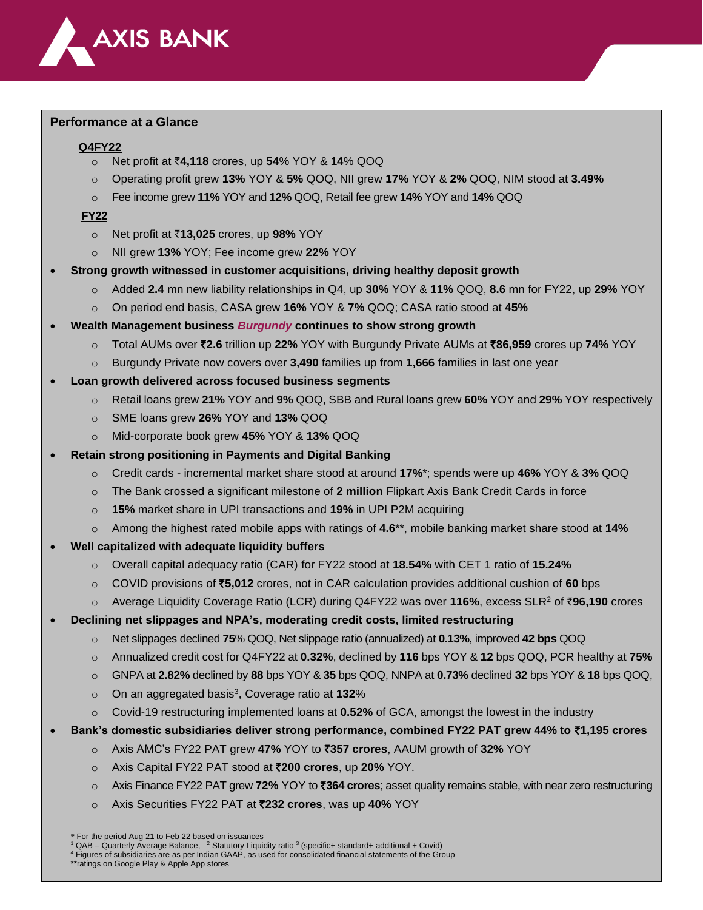

### **Performance at a Glance**

## **Q4FY22**

- o Net profit at `**4,118** crores, up **54**% YOY & **14**% QOQ
- o Operating profit grew **13%** YOY & **5%** QOQ, NII grew **17%** YOY & **2%** QOQ, NIM stood at **3.49%**
- o Fee income grew **11%** YOY and **12%** QOQ, Retail fee grew **14%** YOY and **14%** QOQ

## **FY22**

- o Net profit at `**13,025** crores, up **98%** YOY
- o NII grew **13%** YOY; Fee income grew **22%** YOY
- **Strong growth witnessed in customer acquisitions, driving healthy deposit growth**
	- o Added **2.4** mn new liability relationships in Q4, up **30%** YOY & **11%** QOQ, **8.6** mn for FY22, up **29%** YOY
	- o On period end basis, CASA grew **16%** YOY & **7%** QOQ; CASA ratio stood at **45%**
- **Wealth Management business** *Burgundy* **continues to show strong growth**
	- o Total AUMs over `**2.6** trillion up **22%** YOY with Burgundy Private AUMs at `**86,959** crores up **74%** YOY
	- o Burgundy Private now covers over **3,490** families up from **1,666** families in last one year
- **Loan growth delivered across focused business segments**
	- o Retail loans grew **21%** YOY and **9%** QOQ, SBB and Rural loans grew **60%** YOY and **29%** YOY respectively
	- o SME loans grew **26%** YOY and **13%** QOQ
	- o Mid-corporate book grew **45%** YOY & **13%** QOQ
- **Retain strong positioning in Payments and Digital Banking**
	- o Credit cards incremental market share stood at around **17%**\*; spends were up **46%** YOY & **3%** QOQ
	- o The Bank crossed a significant milestone of **2 million** Flipkart Axis Bank Credit Cards in force
	- o **15%** market share in UPI transactions and **19%** in UPI P2M acquiring
	- o Among the highest rated mobile apps with ratings of **4.6**\*\*, mobile banking market share stood at **14%**
- **Well capitalized with adequate liquidity buffers**
	- o Overall capital adequacy ratio (CAR) for FY22 stood at **18.54%** with CET 1 ratio of **15.24%**
	- o COVID provisions of `**5,012** crores, not in CAR calculation provides additional cushion of **60** bps
	- o Average Liquidity Coverage Ratio (LCR) during Q4FY22 was over **116%**, excess SLR<sup>2</sup> of `**96,190** crores
- **Declining net slippages and NPA's, moderating credit costs, limited restructuring**
	- o Net slippages declined **75**% QOQ, Net slippage ratio (annualized) at **0.13%**, improved **42 bps** QOQ
	- o Annualized credit cost for Q4FY22 at **0.32%**, declined by **116** bps YOY & **12** bps QOQ, PCR healthy at **75%**
	- o GNPA at **2.82%** declined by **88** bps YOY & **35** bps QOQ, NNPA at **0.73%** declined **32** bps YOY & **18** bps QOQ,
	- o On an aggregated basis<sup>3</sup> , Coverage ratio at **132**%
	- o Covid-19 restructuring implemented loans at **0.52%** of GCA, amongst the lowest in the industry
- **Bank's domestic subsidiaries deliver strong performance, combined FY22 PAT grew 44% to** `**1,195 crores** 
	- o Axis AMC's FY22 PAT grew **47%** YOY to `**357 crores**, AAUM growth of **32%** YOY
	- o Axis Capital FY22 PAT stood at `**200 crores**, up **20%** YOY.
	- o Axis Finance FY22 PAT grew **72%** YOY to `**364 crores**; asset quality remains stable, with near zero restructuring

2

o Axis Securities FY22 PAT at `**232 crores**, was up **40%** YOY

<sup>4</sup> Figures of subsidiaries are as per Indian GAAP, as used for consolidated financial statements of the Group \*\*ratings on Google Play & Apple App stores

For the period Aug 21 to Feb 22 based on issuances

<sup>&</sup>lt;sup>1</sup> QAB – Quarterly Average Balance, <sup>2</sup> Statutory Liquidity ratio <sup>3</sup> (specific+ standard+ additional + Covid)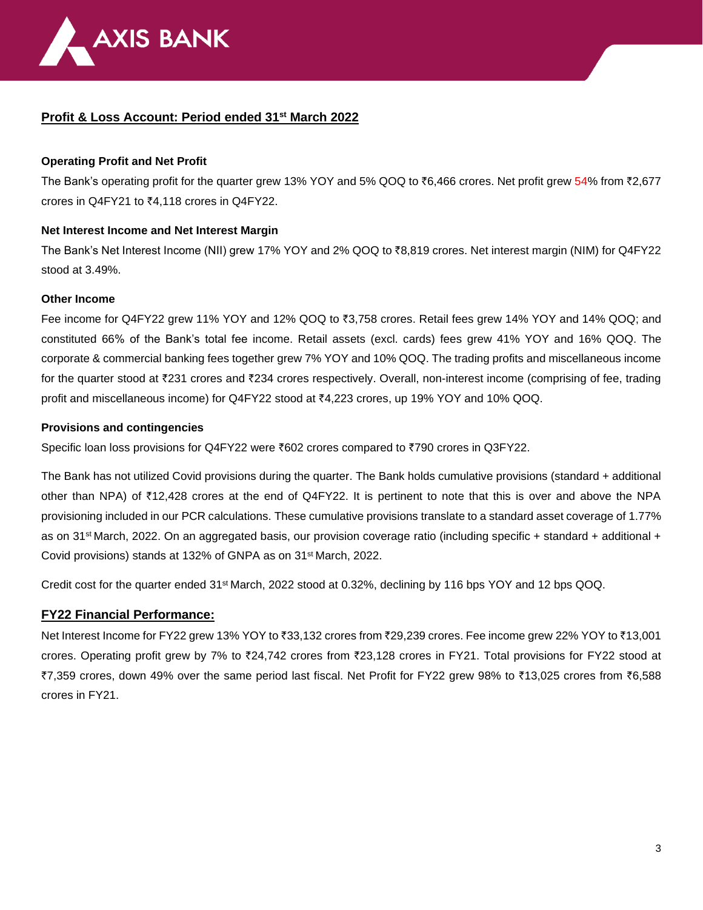

# **Profit & Loss Account: Period ended 31 st March 2022**

## **Operating Profit and Net Profit**

The Bank's operating profit for the quarter grew 13% YOY and 5% QOQ to  $\bar{\tau}6,466$  crores. Net profit grew 54% from  $\bar{\tau}2,677$ crores in Q4FY21 to  $\overline{6}4,118$  crores in Q4FY22.

## **Net Interest Income and Net Interest Margin**

The Bank's Net Interest Income (NII) grew 17% YOY and 2% QOQ to ₹8,819 crores. Net interest margin (NIM) for Q4FY22 stood at 3.49%.

### **Other Income**

Fee income for Q4FY22 grew 11% YOY and 12% QOQ to ₹3,758 crores. Retail fees grew 14% YOY and 14% QOQ; and constituted 66% of the Bank's total fee income. Retail assets (excl. cards) fees grew 41% YOY and 16% QOQ. The corporate & commercial banking fees together grew 7% YOY and 10% QOQ. The trading profits and miscellaneous income for the quarter stood at ₹231 crores and ₹234 crores respectively. Overall, non-interest income (comprising of fee, trading profit and miscellaneous income) for Q4FY22 stood at ₹4,223 crores, up 19% YOY and 10% QOQ.

## **Provisions and contingencies**

Specific loan loss provisions for Q4FY22 were ₹602 crores compared to ₹790 crores in Q3FY22.

The Bank has not utilized Covid provisions during the quarter. The Bank holds cumulative provisions (standard + additional other than NPA) of  $\overline{12,428}$  crores at the end of Q4FY22. It is pertinent to note that this is over and above the NPA provisioning included in our PCR calculations. These cumulative provisions translate to a standard asset coverage of 1.77% as on 31 st March, 2022. On an aggregated basis, our provision coverage ratio (including specific + standard + additional + Covid provisions) stands at 132% of GNPA as on 31st March, 2022.

Credit cost for the quarter ended 31st March, 2022 stood at 0.32%, declining by 116 bps YOY and 12 bps QOQ.

## **FY22 Financial Performance:**

Net Interest Income for FY22 grew 13% YOY to ₹33,132 crores from ₹29,239 crores. Fee income grew 22% YOY to ₹13,001 crores. Operating profit grew by 7% to ₹24,742 crores from ₹23,128 crores in FY21. Total provisions for FY22 stood at `7,359 crores, down 49% over the same period last fiscal. Net Profit for FY22 grew 98% to `13,025 crores from `6,588 crores in FY21.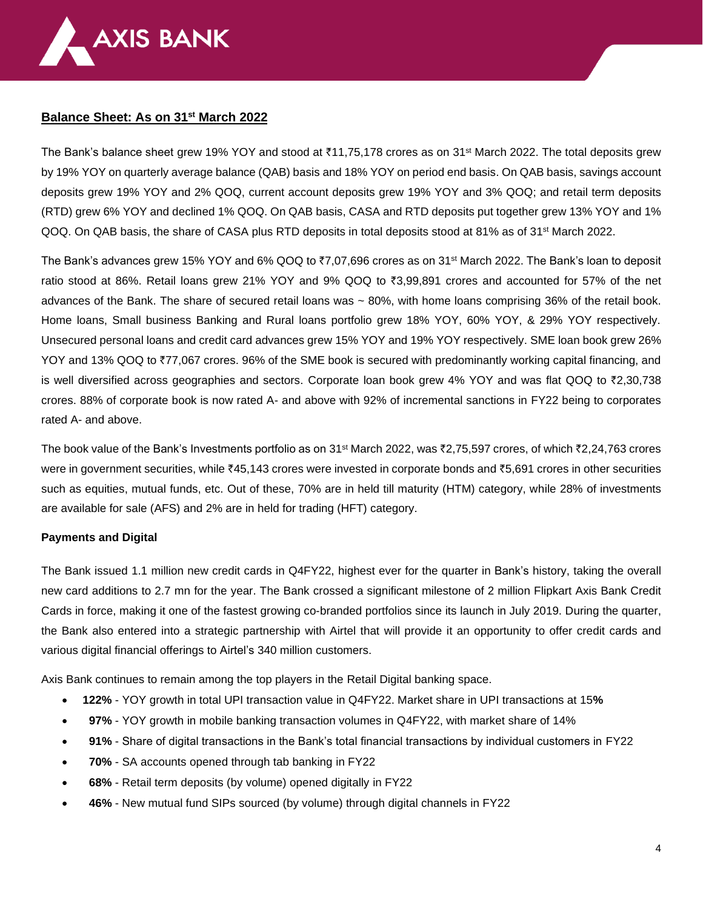

## **Balance Sheet: As on 31 st March 2022**

The Bank's balance sheet grew 19% YOY and stood at ₹11,75,178 crores as on 31ൺ March 2022. The total deposits grew by 19% YOY on quarterly average balance (QAB) basis and 18% YOY on period end basis. On QAB basis, savings account deposits grew 19% YOY and 2% QOQ, current account deposits grew 19% YOY and 3% QOQ; and retail term deposits (RTD) grew 6% YOY and declined 1% QOQ. On QAB basis, CASA and RTD deposits put together grew 13% YOY and 1% QOQ. On QAB basis, the share of CASA plus RTD deposits in total deposits stood at 81% as of 31<sup>st</sup> March 2022.

The Bank's advances grew 15% YOY and 6% QOQ to  $\overline{37,07,696}$  crores as on 31<sup>st</sup> March 2022. The Bank's loan to deposit ratio stood at 86%. Retail loans grew 21% YOY and 9% QOQ to `3,99,891 crores and accounted for 57% of the net advances of the Bank. The share of secured retail loans was ~ 80%, with home loans comprising 36% of the retail book. Home loans, Small business Banking and Rural loans portfolio grew 18% YOY, 60% YOY, & 29% YOY respectively. Unsecured personal loans and credit card advances grew 15% YOY and 19% YOY respectively. SME loan book grew 26% YOY and 13% QOQ to ₹77,067 crores. 96% of the SME book is secured with predominantly working capital financing, and is well diversified across geographies and sectors. Corporate loan book grew 4% YOY and was flat QOQ to  $\bar{\tau}$ 2,30,738 crores. 88% of corporate book is now rated A- and above with 92% of incremental sanctions in FY22 being to corporates rated A- and above.

The book value of the Bank's Investments portfolio as on 31<sup>st</sup> March 2022, was ₹2,75,597 crores, of which ₹2,24,763 crores were in government securities, while  $*45,143$  crores were invested in corporate bonds and  $*5,691$  crores in other securities such as equities, mutual funds, etc. Out of these, 70% are in held till maturity (HTM) category, while 28% of investments are available for sale (AFS) and 2% are in held for trading (HFT) category.

### **Payments and Digital**

The Bank issued 1.1 million new credit cards in Q4FY22, highest ever for the quarter in Bank's history, taking the overall new card additions to 2.7 mn for the year. The Bank crossed a significant milestone of 2 million Flipkart Axis Bank Credit Cards in force, making it one of the fastest growing co-branded portfolios since its launch in July 2019. During the quarter, the Bank also entered into a strategic partnership with Airtel that will provide it an opportunity to offer credit cards and various digital financial offerings to Airtel's 340 million customers.

Axis Bank continues to remain among the top players in the Retail Digital banking space.

- **122%** YOY growth in total UPI transaction value in Q4FY22. Market share in UPI transactions at 15**%**
- • **97%** YOY growth in mobile banking transaction volumes in Q4FY22, with market share of 14%
- • **91%** Share of digital transactions in the Bank's total financial transactions by individual customers in FY22
- **70%**  SA accounts opened through tab banking in FY22
- **68%** Retail term deposits (by volume) opened digitally in FY22
- **46%** New mutual fund SIPs sourced (by volume) through digital channels in FY22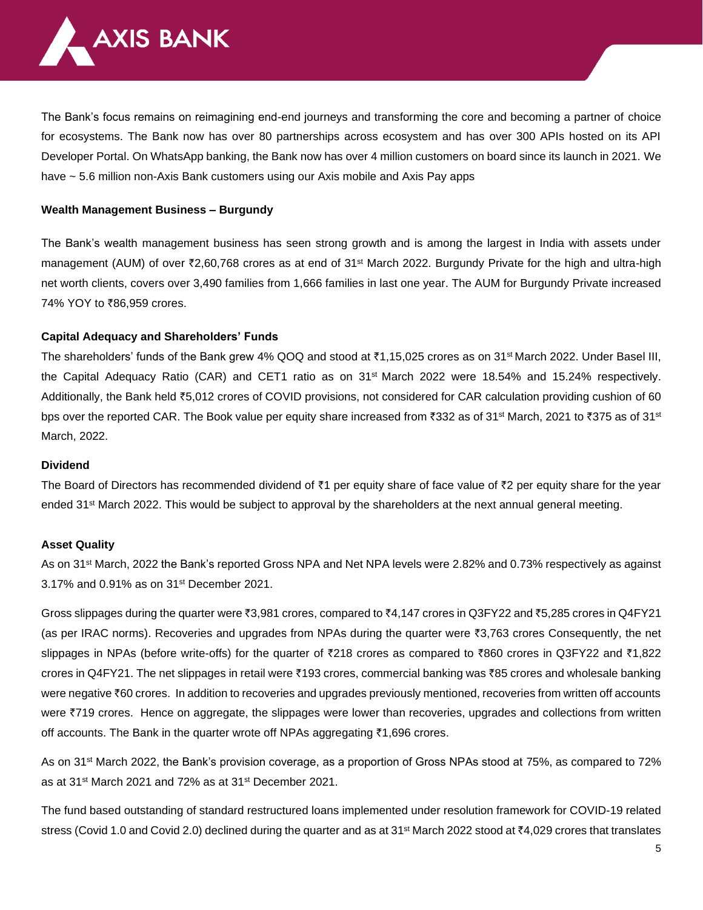

The Bank's focus remains on reimagining end-end journeys and transforming the core and becoming a partner of choice for ecosystems. The Bank now has over 80 partnerships across ecosystem and has over 300 APIs hosted on its API Developer Portal. On WhatsApp banking, the Bank now has over 4 million customers on board since its launch in 2021. We have ~ 5.6 million non-Axis Bank customers using our Axis mobile and Axis Pay apps

### **Wealth Management Business – Burgundy**

The Bank's wealth management business has seen strong growth and is among the largest in India with assets under management (AUM) of over ₹2,60,768 crores as at end of 31<sup>st</sup> March 2022. Burgundy Private for the high and ultra-high net worth clients, covers over 3,490 families from 1,666 families in last one year. The AUM for Burgundy Private increased 74% YOY to ₹86,959 crores.

## **Capital Adequacy and Shareholders' Funds**

The shareholders' funds of the Bank grew 4% QOQ and stood at  $\bar{\tau}$ 1,15,025 crores as on 31<sup>st</sup> March 2022. Under Basel III, the Capital Adequacy Ratio (CAR) and CET1 ratio as on 31st March 2022 were 18.54% and 15.24% respectively. Additionally, the Bank held ₹5,012 crores of COVID provisions, not considered for CAR calculation providing cushion of 60 bps over the reported CAR. The Book value per equity share increased from ₹332 as of 31<sup>st</sup> March, 2021 to ₹375 as of 31<sup>st</sup> March, 2022.

### **Dividend**

The Board of Directors has recommended dividend of  $\bar{z}$ 1 per equity share of face value of  $\bar{z}$ 2 per equity share for the year ended 31<sup>st</sup> March 2022. This would be subject to approval by the shareholders at the next annual general meeting.

### **Asset Quality**

As on 31st March, 2022 the Bank's reported Gross NPA and Net NPA levels were 2.82% and 0.73% respectively as against 3.17% and 0.91% as on 31st December 2021.

Gross slippages during the quarter were  $\overline{3}3,981$  crores, compared to  $\overline{4}4,147$  crores in Q3FY22 and  $\overline{4}5,285$  crores in Q4FY21 (as per IRAC norms). Recoveries and upgrades from NPAs during the quarter were `3,763 crores Consequently, the net slippages in NPAs (before write-offs) for the quarter of  $\bar{\ell}218$  crores as compared to  $\bar{\ell}860$  crores in Q3FY22 and  $\bar{\ell}1,822$ crores in Q4FY21. The net slippages in retail were ₹193 crores, commercial banking was ₹85 crores and wholesale banking were negative ₹60 crores. In addition to recoveries and upgrades previously mentioned, recoveries from written off accounts were ₹719 crores. Hence on aggregate, the slippages were lower than recoveries, upgrades and collections from written off accounts. The Bank in the quarter wrote off NPAs aggregating ₹1,696 crores.

As on 31<sup>st</sup> March 2022, the Bank's provision coverage, as a proportion of Gross NPAs stood at 75%, as compared to 72% as at 31st March 2021 and 72% as at 31st December 2021.

The fund based outstanding of standard restructured loans implemented under resolution framework for COVID-19 related stress (Covid 1.0 and Covid 2.0) declined during the quarter and as at 31<sup>st</sup> March 2022 stood at  $\bar{\tau}4,029$  crores that translates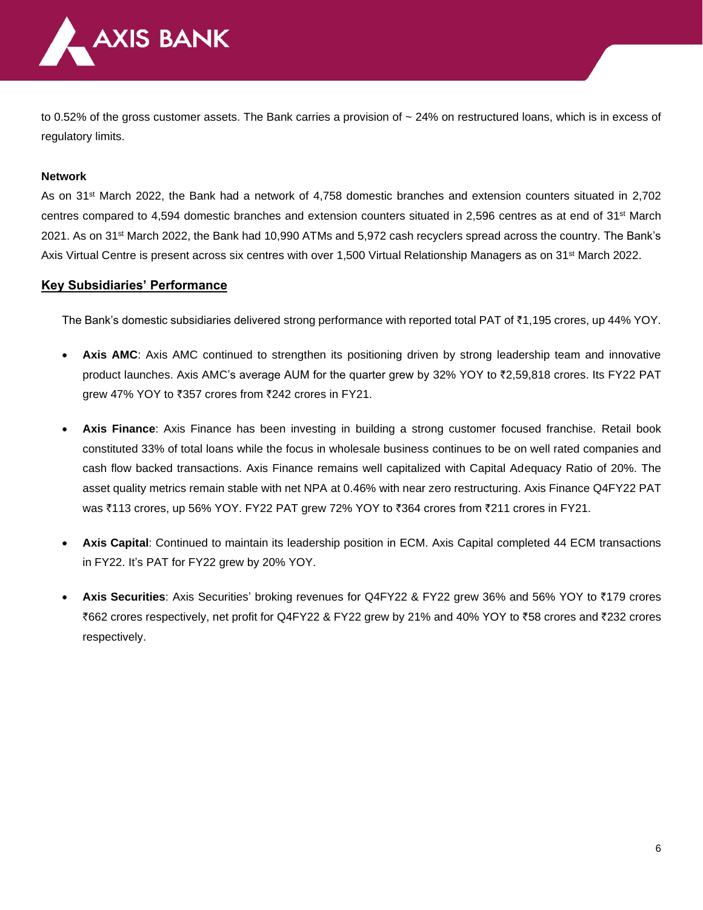

to 0.52% of the gross customer assets. The Bank carries a provision of  $\sim$  24% on restructured loans, which is in excess of regulatory limits.

#### **Network**

As on 31st March 2022, the Bank had a network of 4,758 domestic branches and extension counters situated in 2,702 centres compared to 4,594 domestic branches and extension counters situated in 2,596 centres as at end of 31st March 2021. As on 31st March 2022, the Bank had 10,990 ATMs and 5,972 cash recyclers spread across the country. The Bank's Axis Virtual Centre is present across six centres with over 1,500 Virtual Relationship Managers as on 31st March 2022.

### **Key Subsidiaries' Performance**

The Bank's domestic subsidiaries delivered strong performance with reported total PAT of `1,195 crores, up 44% YOY.

- Axis AMC: Axis AMC continued to strengthen its positioning driven by strong leadership team and innovative product launches. Axis AMC's average AUM for the quarter grew by 32% YOY to ₹2,59,818 crores. Its FY22 PAT grew 47% YOY to  $\overline{\xi}357$  crores from  $\overline{\xi}242$  crores in FY21.
- **Axis Finance**: Axis Finance has been investing in building a strong customer focused franchise. Retail book constituted 33% of total loans while the focus in wholesale business continues to be on well rated companies and cash flow backed transactions. Axis Finance remains well capitalized with Capital Adequacy Ratio of 20%. The asset quality metrics remain stable with net NPA at 0.46% with near zero restructuring. Axis Finance Q4FY22 PAT was ₹113 crores, up 56% YOY. FY22 PAT grew 72% YOY to ₹364 crores from ₹211 crores in FY21.
- **Axis Capital**: Continued to maintain its leadership position in ECM. Axis Capital completed 44 ECM transactions in FY22. It's PAT for FY22 grew by 20% YOY.
- **Axis Securities**: Axis Securities' broking revenues for Q4FY22 & FY22 grew 36% and 56% YOY to `179 crores `662 crores respectively, net profit for Q4FY22 & FY22 grew by 21% and 40% YOY to `58 crores and `232 crores respectively.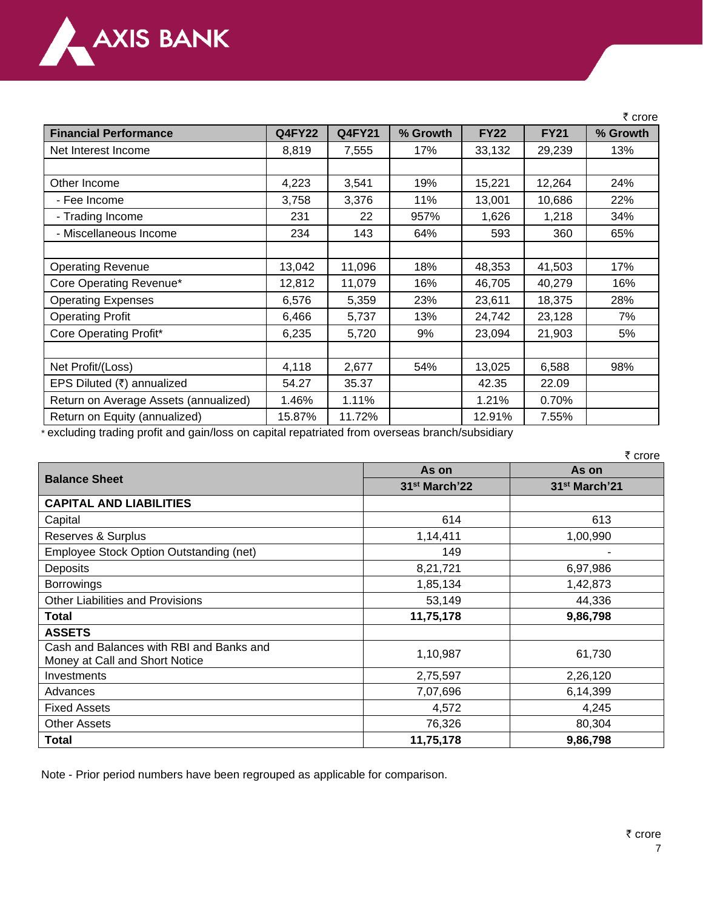

|                                       |               |               |          |             |             | ₹ crore  |
|---------------------------------------|---------------|---------------|----------|-------------|-------------|----------|
| <b>Financial Performance</b>          | <b>Q4FY22</b> | <b>Q4FY21</b> | % Growth | <b>FY22</b> | <b>FY21</b> | % Growth |
| Net Interest Income                   | 8,819         | 7,555         | 17%      | 33,132      | 29,239      | 13%      |
|                                       |               |               |          |             |             |          |
| Other Income                          | 4,223         | 3,541         | 19%      | 15,221      | 12,264      | 24%      |
| - Fee Income                          | 3,758         | 3,376         | 11%      | 13,001      | 10,686      | 22%      |
| - Trading Income                      | 231           | 22            | 957%     | 1,626       | 1,218       | 34%      |
| - Miscellaneous Income                | 234           | 143           | 64%      | 593         | 360         | 65%      |
|                                       |               |               |          |             |             |          |
| <b>Operating Revenue</b>              | 13,042        | 11,096        | 18%      | 48,353      | 41,503      | 17%      |
| Core Operating Revenue*               | 12,812        | 11,079        | 16%      | 46,705      | 40,279      | 16%      |
| <b>Operating Expenses</b>             | 6,576         | 5,359         | 23%      | 23,611      | 18,375      | 28%      |
| <b>Operating Profit</b>               | 6,466         | 5,737         | 13%      | 24,742      | 23,128      | 7%       |
| Core Operating Profit*                | 6,235         | 5,720         | 9%       | 23,094      | 21,903      | 5%       |
|                                       |               |               |          |             |             |          |
| Net Profit/(Loss)                     | 4,118         | 2,677         | 54%      | 13,025      | 6,588       | 98%      |
| EPS Diluted (₹) annualized            | 54.27         | 35.37         |          | 42.35       | 22.09       |          |
| Return on Average Assets (annualized) | 1.46%         | 1.11%         |          | 1.21%       | 0.70%       |          |
| Return on Equity (annualized)         | 15.87%        | 11.72%        |          | 12.91%      | 7.55%       |          |

\* excluding trading profit and gain/loss on capital repatriated from overseas branch/subsidiary

|                                                                            | ₹ crore                   |                           |  |  |
|----------------------------------------------------------------------------|---------------------------|---------------------------|--|--|
|                                                                            | As on                     | As on                     |  |  |
| <b>Balance Sheet</b>                                                       | 31 <sup>st</sup> March'22 | 31 <sup>st</sup> March'21 |  |  |
| <b>CAPITAL AND LIABILITIES</b>                                             |                           |                           |  |  |
| Capital                                                                    | 614                       | 613                       |  |  |
| Reserves & Surplus                                                         | 1,14,411                  | 1,00,990                  |  |  |
| Employee Stock Option Outstanding (net)                                    | 149                       |                           |  |  |
| Deposits                                                                   | 8,21,721                  | 6,97,986                  |  |  |
| <b>Borrowings</b>                                                          | 1,85,134                  | 1,42,873                  |  |  |
| <b>Other Liabilities and Provisions</b>                                    | 53,149                    | 44,336                    |  |  |
| <b>Total</b>                                                               | 11,75,178                 | 9,86,798                  |  |  |
| <b>ASSETS</b>                                                              |                           |                           |  |  |
| Cash and Balances with RBI and Banks and<br>Money at Call and Short Notice | 1,10,987                  | 61,730                    |  |  |
| Investments                                                                | 2,75,597                  | 2,26,120                  |  |  |
| Advances                                                                   | 7,07,696                  | 6,14,399                  |  |  |
| <b>Fixed Assets</b>                                                        | 4,572                     | 4,245                     |  |  |
| <b>Other Assets</b>                                                        | 76,326                    | 80,304                    |  |  |
| Total                                                                      | 11,75,178                 | 9,86,798                  |  |  |

Note - Prior period numbers have been regrouped as applicable for comparison.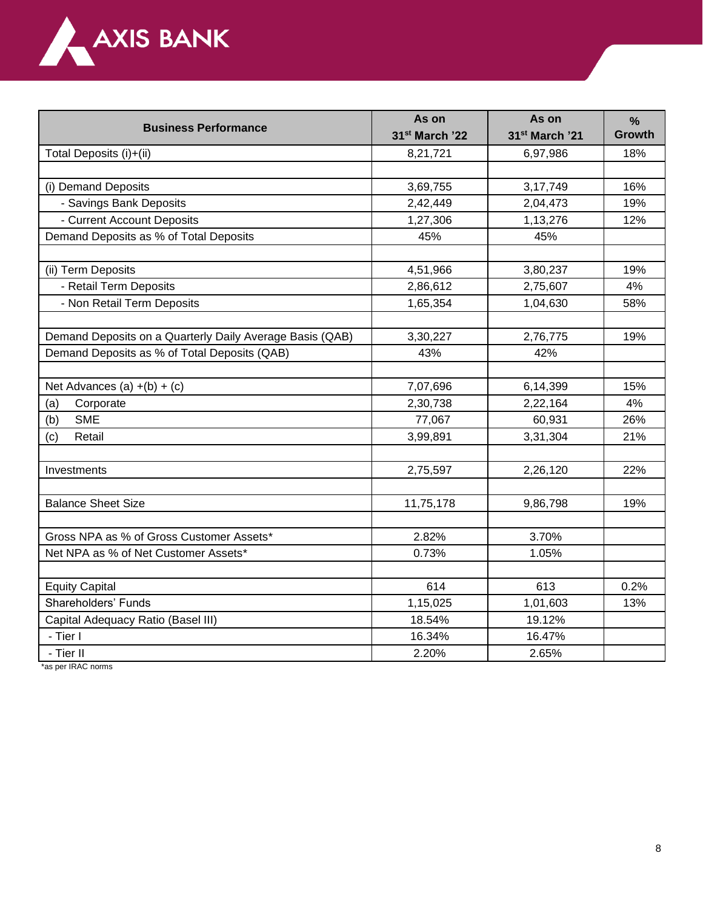

| <b>Business Performance</b>                              | As on                      | As on                      | $\frac{9}{6}$ |
|----------------------------------------------------------|----------------------------|----------------------------|---------------|
|                                                          | 31 <sup>st</sup> March '22 | 31 <sup>st</sup> March '21 | <b>Growth</b> |
| Total Deposits (i)+(ii)                                  | 8,21,721                   | 6,97,986                   | 18%           |
|                                                          |                            |                            |               |
| (i) Demand Deposits                                      | 3,69,755                   | 3, 17, 749                 | 16%           |
| - Savings Bank Deposits                                  | 2,42,449                   | 2,04,473                   | 19%           |
| - Current Account Deposits                               | 1,27,306                   | 1,13,276                   | 12%           |
| Demand Deposits as % of Total Deposits                   | 45%                        | 45%                        |               |
| (ii) Term Deposits                                       | 4,51,966                   | 3,80,237                   | 19%           |
| - Retail Term Deposits                                   | 2,86,612                   | 2,75,607                   | 4%            |
| - Non Retail Term Deposits                               | 1,65,354                   | 1,04,630                   | 58%           |
|                                                          |                            |                            |               |
| Demand Deposits on a Quarterly Daily Average Basis (QAB) | 3,30,227                   | 2,76,775                   | 19%           |
| Demand Deposits as % of Total Deposits (QAB)             | 43%                        | 42%                        |               |
|                                                          |                            |                            |               |
| Net Advances (a) $+(b) + (c)$                            | 7,07,696                   | 6,14,399                   | 15%           |
| Corporate<br>(a)                                         | 2,30,738                   | 2,22,164                   | 4%            |
| <b>SME</b><br>(b)                                        | 77,067                     | 60,931                     | 26%           |
| Retail<br>(c)                                            | 3,99,891                   | 3,31,304                   | 21%           |
|                                                          |                            |                            |               |
| Investments                                              | 2,75,597                   | 2,26,120                   | 22%           |
|                                                          |                            |                            |               |
| <b>Balance Sheet Size</b>                                | 11,75,178                  | 9,86,798                   | 19%           |
| Gross NPA as % of Gross Customer Assets*                 | 2.82%                      | 3.70%                      |               |
| Net NPA as % of Net Customer Assets*                     | 0.73%                      | 1.05%                      |               |
|                                                          |                            |                            |               |
| <b>Equity Capital</b>                                    | 614                        | 613                        | 0.2%          |
| Shareholders' Funds                                      | 1,15,025                   | 1,01,603                   | 13%           |
| Capital Adequacy Ratio (Basel III)                       | 18.54%                     | 19.12%                     |               |
| - Tier I                                                 | 16.34%                     | 16.47%                     |               |
| - Tier II                                                | 2.20%                      | 2.65%                      |               |

\*as per IRAC norms